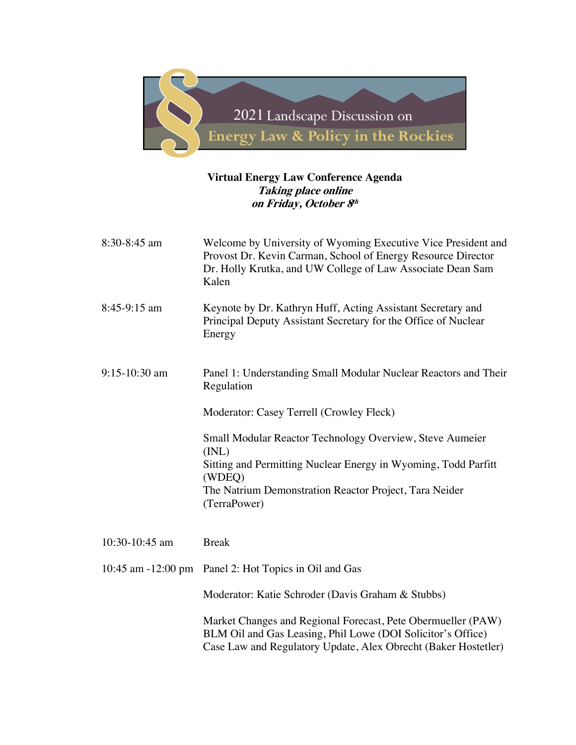

## **Virtual Energy Law Conference Agenda Taking place online on Friday, October 8th**

| 8:30-8:45 am    | Welcome by University of Wyoming Executive Vice President and<br>Provost Dr. Kevin Carman, School of Energy Resource Director<br>Dr. Holly Krutka, and UW College of Law Associate Dean Sam<br>Kalen                    |
|-----------------|-------------------------------------------------------------------------------------------------------------------------------------------------------------------------------------------------------------------------|
| 8:45-9:15 am    | Keynote by Dr. Kathryn Huff, Acting Assistant Secretary and<br>Principal Deputy Assistant Secretary for the Office of Nuclear<br>Energy                                                                                 |
| $9:15-10:30$ am | Panel 1: Understanding Small Modular Nuclear Reactors and Their<br>Regulation                                                                                                                                           |
|                 | Moderator: Casey Terrell (Crowley Fleck)                                                                                                                                                                                |
|                 | Small Modular Reactor Technology Overview, Steve Aumeier<br>(INL)<br>Sitting and Permitting Nuclear Energy in Wyoming, Todd Parfitt<br>(WDEQ)<br>The Natrium Demonstration Reactor Project, Tara Neider<br>(TerraPower) |
| 10:30-10:45 am  | <b>Break</b>                                                                                                                                                                                                            |
|                 | 10:45 am -12:00 pm Panel 2: Hot Topics in Oil and Gas                                                                                                                                                                   |
|                 | Moderator: Katie Schroder (Davis Graham & Stubbs)                                                                                                                                                                       |
|                 | Market Changes and Regional Forecast, Pete Obermueller (PAW)<br>BLM Oil and Gas Leasing, Phil Lowe (DOI Solicitor's Office)<br>Case Law and Regulatory Update, Alex Obrecht (Baker Hostetler)                           |